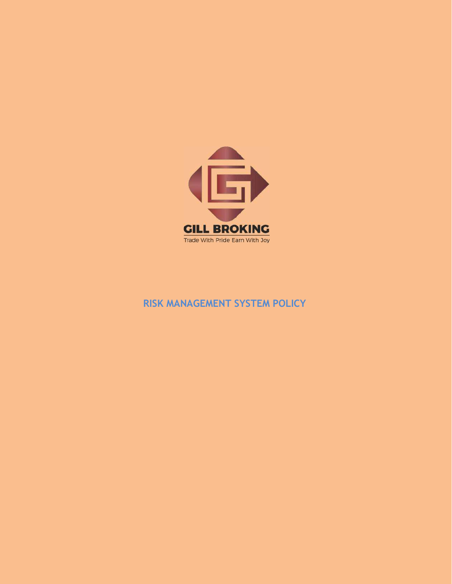

# RISK MANAGEMENT SYSTEM POLICY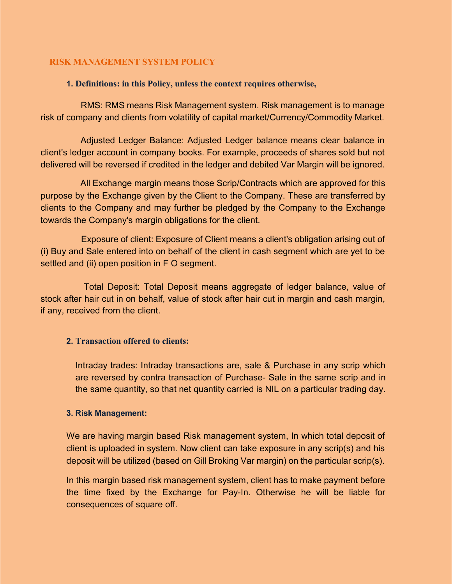### RISK MANAGEMENT SYSTEM POLICY

#### 1. Definitions: in this Policy, unless the context requires otherwise,

 RMS: RMS means Risk Management system. Risk management is to manage risk of company and clients from volatility of capital market/Currency/Commodity Market.

 Adjusted Ledger Balance: Adjusted Ledger balance means clear balance in client's ledger account in company books. For example, proceeds of shares sold but not delivered will be reversed if credited in the ledger and debited Var Margin will be ignored.

 All Exchange margin means those Scrip/Contracts which are approved for this purpose by the Exchange given by the Client to the Company. These are transferred by clients to the Company and may further be pledged by the Company to the Exchange towards the Company's margin obligations for the client.

 Exposure of client: Exposure of Client means a client's obligation arising out of (i) Buy and Sale entered into on behalf of the client in cash segment which are yet to be settled and (ii) open position in F O segment.

 Total Deposit: Total Deposit means aggregate of ledger balance, value of stock after hair cut in on behalf, value of stock after hair cut in margin and cash margin, if any, received from the client.

#### 2. Transaction offered to clients:

Intraday trades: Intraday transactions are, sale & Purchase in any scrip which are reversed by contra transaction of Purchase- Sale in the same scrip and in the same quantity, so that net quantity carried is NIL on a particular trading day.

#### 3. Risk Management:

We are having margin based Risk management system, In which total deposit of client is uploaded in system. Now client can take exposure in any scrip(s) and his deposit will be utilized (based on Gill Broking Var margin) on the particular scrip(s).

In this margin based risk management system, client has to make payment before the time fixed by the Exchange for Pay-In. Otherwise he will be liable for consequences of square off.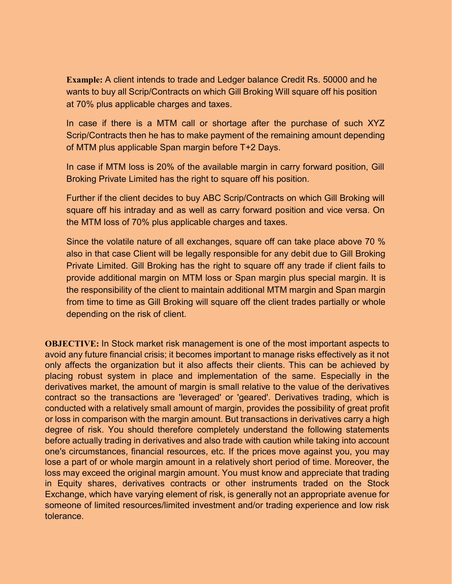Example: A client intends to trade and Ledger balance Credit Rs. 50000 and he wants to buy all Scrip/Contracts on which Gill Broking Will square off his position at 70% plus applicable charges and taxes.

In case if there is a MTM call or shortage after the purchase of such XYZ Scrip/Contracts then he has to make payment of the remaining amount depending of MTM plus applicable Span margin before T+2 Days.

In case if MTM loss is 20% of the available margin in carry forward position, Gill Broking Private Limited has the right to square off his position.

Further if the client decides to buy ABC Scrip/Contracts on which Gill Broking will square off his intraday and as well as carry forward position and vice versa. On the MTM loss of 70% plus applicable charges and taxes.

Since the volatile nature of all exchanges, square off can take place above 70 % also in that case Client will be legally responsible for any debit due to Gill Broking Private Limited. Gill Broking has the right to square off any trade if client fails to provide additional margin on MTM loss or Span margin plus special margin. It is the responsibility of the client to maintain additional MTM margin and Span margin from time to time as Gill Broking will square off the client trades partially or whole depending on the risk of client.

OBJECTIVE: In Stock market risk management is one of the most important aspects to avoid any future financial crisis; it becomes important to manage risks effectively as it not only affects the organization but it also affects their clients. This can be achieved by placing robust system in place and implementation of the same. Especially in the derivatives market, the amount of margin is small relative to the value of the derivatives contract so the transactions are 'leveraged' or 'geared'. Derivatives trading, which is conducted with a relatively small amount of margin, provides the possibility of great profit or loss in comparison with the margin amount. But transactions in derivatives carry a high degree of risk. You should therefore completely understand the following statements before actually trading in derivatives and also trade with caution while taking into account one's circumstances, financial resources, etc. If the prices move against you, you may lose a part of or whole margin amount in a relatively short period of time. Moreover, the loss may exceed the original margin amount. You must know and appreciate that trading in Equity shares, derivatives contracts or other instruments traded on the Stock Exchange, which have varying element of risk, is generally not an appropriate avenue for someone of limited resources/limited investment and/or trading experience and low risk tolerance.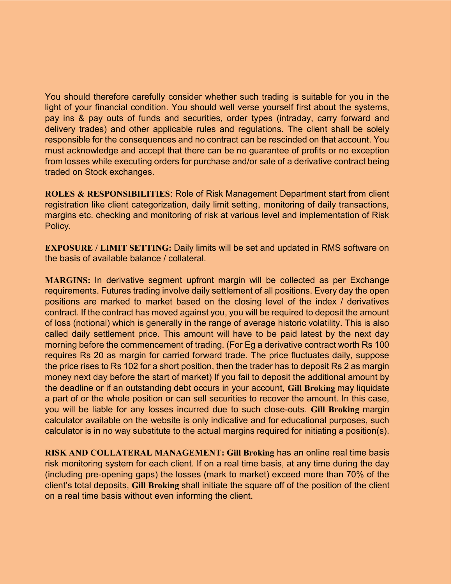You should therefore carefully consider whether such trading is suitable for you in the light of your financial condition. You should well verse yourself first about the systems, pay ins & pay outs of funds and securities, order types (intraday, carry forward and delivery trades) and other applicable rules and regulations. The client shall be solely responsible for the consequences and no contract can be rescinded on that account. You must acknowledge and accept that there can be no guarantee of profits or no exception from losses while executing orders for purchase and/or sale of a derivative contract being traded on Stock exchanges.

ROLES & RESPONSIBILITIES: Role of Risk Management Department start from client registration like client categorization, daily limit setting, monitoring of daily transactions, margins etc. checking and monitoring of risk at various level and implementation of Risk Policy.

EXPOSURE / LIMIT SETTING: Daily limits will be set and updated in RMS software on the basis of available balance / collateral.

MARGINS: In derivative segment upfront margin will be collected as per Exchange requirements. Futures trading involve daily settlement of all positions. Every day the open positions are marked to market based on the closing level of the index / derivatives contract. If the contract has moved against you, you will be required to deposit the amount of loss (notional) which is generally in the range of average historic volatility. This is also called daily settlement price. This amount will have to be paid latest by the next day morning before the commencement of trading. (For Eg a derivative contract worth Rs 100 requires Rs 20 as margin for carried forward trade. The price fluctuates daily, suppose the price rises to Rs 102 for a short position, then the trader has to deposit Rs 2 as margin money next day before the start of market) If you fail to deposit the additional amount by the deadline or if an outstanding debt occurs in your account, Gill Broking may liquidate a part of or the whole position or can sell securities to recover the amount. In this case, you will be liable for any losses incurred due to such close-outs. Gill Broking margin calculator available on the website is only indicative and for educational purposes, such calculator is in no way substitute to the actual margins required for initiating a position(s).

RISK AND COLLATERAL MANAGEMENT: Gill Broking has an online real time basis risk monitoring system for each client. If on a real time basis, at any time during the day (including pre-opening gaps) the losses (mark to market) exceed more than 70% of the client's total deposits, Gill Broking shall initiate the square off of the position of the client on a real time basis without even informing the client.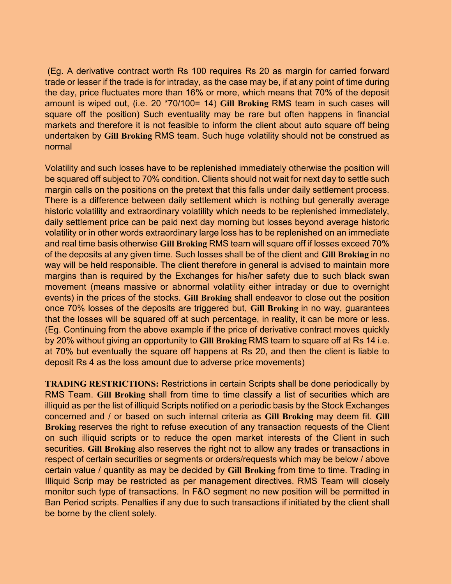(Eg. A derivative contract worth Rs 100 requires Rs 20 as margin for carried forward trade or lesser if the trade is for intraday, as the case may be, if at any point of time during the day, price fluctuates more than 16% or more, which means that 70% of the deposit amount is wiped out, (i.e. 20 \*70/100= 14) Gill Broking RMS team in such cases will square off the position) Such eventuality may be rare but often happens in financial markets and therefore it is not feasible to inform the client about auto square off being undertaken by Gill Broking RMS team. Such huge volatility should not be construed as normal

Volatility and such losses have to be replenished immediately otherwise the position will be squared off subject to 70% condition. Clients should not wait for next day to settle such margin calls on the positions on the pretext that this falls under daily settlement process. There is a difference between daily settlement which is nothing but generally average historic volatility and extraordinary volatility which needs to be replenished immediately, daily settlement price can be paid next day morning but losses beyond average historic volatility or in other words extraordinary large loss has to be replenished on an immediate and real time basis otherwise Gill Broking RMS team will square off if losses exceed 70% of the deposits at any given time. Such losses shall be of the client and Gill Broking in no way will be held responsible. The client therefore in general is advised to maintain more margins than is required by the Exchanges for his/her safety due to such black swan movement (means massive or abnormal volatility either intraday or due to overnight events) in the prices of the stocks. Gill Broking shall endeavor to close out the position once 70% losses of the deposits are triggered but, Gill Broking in no way, guarantees that the losses will be squared off at such percentage, in reality, it can be more or less. (Eg. Continuing from the above example if the price of derivative contract moves quickly by 20% without giving an opportunity to Gill Broking RMS team to square off at Rs 14 i.e. at 70% but eventually the square off happens at Rs 20, and then the client is liable to deposit Rs 4 as the loss amount due to adverse price movements)

TRADING RESTRICTIONS: Restrictions in certain Scripts shall be done periodically by RMS Team. Gill Broking shall from time to time classify a list of securities which are illiquid as per the list of illiquid Scripts notified on a periodic basis by the Stock Exchanges concerned and / or based on such internal criteria as Gill Broking may deem fit. Gill Broking reserves the right to refuse execution of any transaction requests of the Client on such illiquid scripts or to reduce the open market interests of the Client in such securities. Gill Broking also reserves the right not to allow any trades or transactions in respect of certain securities or segments or orders/requests which may be below / above certain value / quantity as may be decided by Gill Broking from time to time. Trading in Illiquid Scrip may be restricted as per management directives. RMS Team will closely monitor such type of transactions. In F&O segment no new position will be permitted in Ban Period scripts. Penalties if any due to such transactions if initiated by the client shall be borne by the client solely.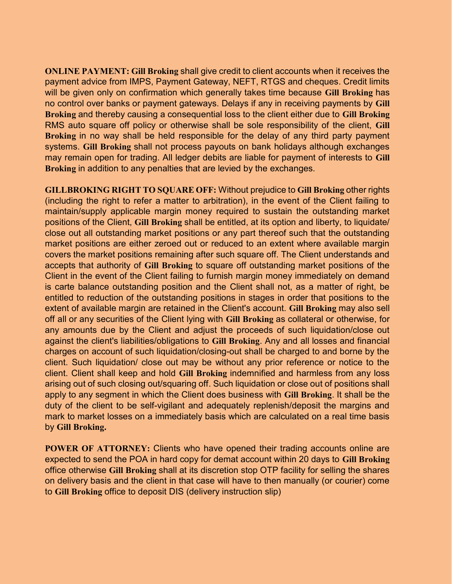ONLINE PAYMENT: Gill Broking shall give credit to client accounts when it receives the payment advice from IMPS, Payment Gateway, NEFT, RTGS and cheques. Credit limits will be given only on confirmation which generally takes time because Gill Broking has no control over banks or payment gateways. Delays if any in receiving payments by Gill Broking and thereby causing a consequential loss to the client either due to Gill Broking RMS auto square off policy or otherwise shall be sole responsibility of the client, Gill Broking in no way shall be held responsible for the delay of any third party payment systems. Gill Broking shall not process payouts on bank holidays although exchanges may remain open for trading. All ledger debits are liable for payment of interests to Gill Broking in addition to any penalties that are levied by the exchanges.

GILLBROKING RIGHT TO SQUARE OFF: Without prejudice to Gill Broking other rights (including the right to refer a matter to arbitration), in the event of the Client failing to maintain/supply applicable margin money required to sustain the outstanding market positions of the Client, Gill Broking shall be entitled, at its option and liberty, to liquidate/ close out all outstanding market positions or any part thereof such that the outstanding market positions are either zeroed out or reduced to an extent where available margin covers the market positions remaining after such square off. The Client understands and accepts that authority of Gill Broking to square off outstanding market positions of the Client in the event of the Client failing to furnish margin money immediately on demand is carte balance outstanding position and the Client shall not, as a matter of right, be entitled to reduction of the outstanding positions in stages in order that positions to the extent of available margin are retained in the Client's account. Gill Broking may also sell off all or any securities of the Client lying with Gill Broking as collateral or otherwise, for any amounts due by the Client and adjust the proceeds of such liquidation/close out against the client's liabilities/obligations to Gill Broking. Any and all losses and financial charges on account of such liquidation/closing-out shall be charged to and borne by the client. Such liquidation/ close out may be without any prior reference or notice to the client. Client shall keep and hold Gill Broking indemnified and harmless from any loss arising out of such closing out/squaring off. Such liquidation or close out of positions shall apply to any segment in which the Client does business with Gill Broking. It shall be the duty of the client to be self-vigilant and adequately replenish/deposit the margins and mark to market losses on a immediately basis which are calculated on a real time basis by Gill Broking.

POWER OF ATTORNEY: Clients who have opened their trading accounts online are expected to send the POA in hard copy for demat account within 20 days to Gill Broking office otherwise Gill Broking shall at its discretion stop OTP facility for selling the shares on delivery basis and the client in that case will have to then manually (or courier) come to Gill Broking office to deposit DIS (delivery instruction slip)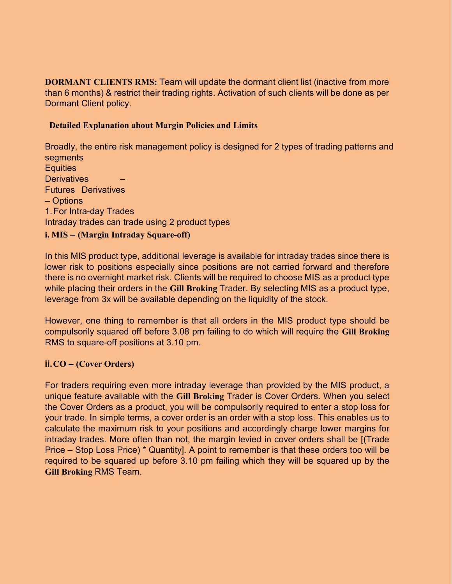DORMANT CLIENTS RMS: Team will update the dormant client list (inactive from more than 6 months) & restrict their trading rights. Activation of such clients will be done as per Dormant Client policy.

### Detailed Explanation about Margin Policies and Limits

Broadly, the entire risk management policy is designed for 2 types of trading patterns and segments **Equities Derivatives** Futures Derivatives – Options 1. For Intra-day Trades Intraday trades can trade using 2 product types i. MIS – (Margin Intraday Square-off)

In this MIS product type, additional leverage is available for intraday trades since there is lower risk to positions especially since positions are not carried forward and therefore there is no overnight market risk. Clients will be required to choose MIS as a product type while placing their orders in the Gill Broking Trader. By selecting MIS as a product type, leverage from 3x will be available depending on the liquidity of the stock.

However, one thing to remember is that all orders in the MIS product type should be compulsorily squared off before 3.08 pm failing to do which will require the Gill Broking RMS to square-off positions at 3.10 pm.

## ii. CO – (Cover Orders)

For traders requiring even more intraday leverage than provided by the MIS product, a unique feature available with the Gill Broking Trader is Cover Orders. When you select the Cover Orders as a product, you will be compulsorily required to enter a stop loss for your trade. In simple terms, a cover order is an order with a stop loss. This enables us to calculate the maximum risk to your positions and accordingly charge lower margins for intraday trades. More often than not, the margin levied in cover orders shall be [(Trade Price – Stop Loss Price) \* Quantity]. A point to remember is that these orders too will be required to be squared up before 3.10 pm failing which they will be squared up by the Gill Broking RMS Team.